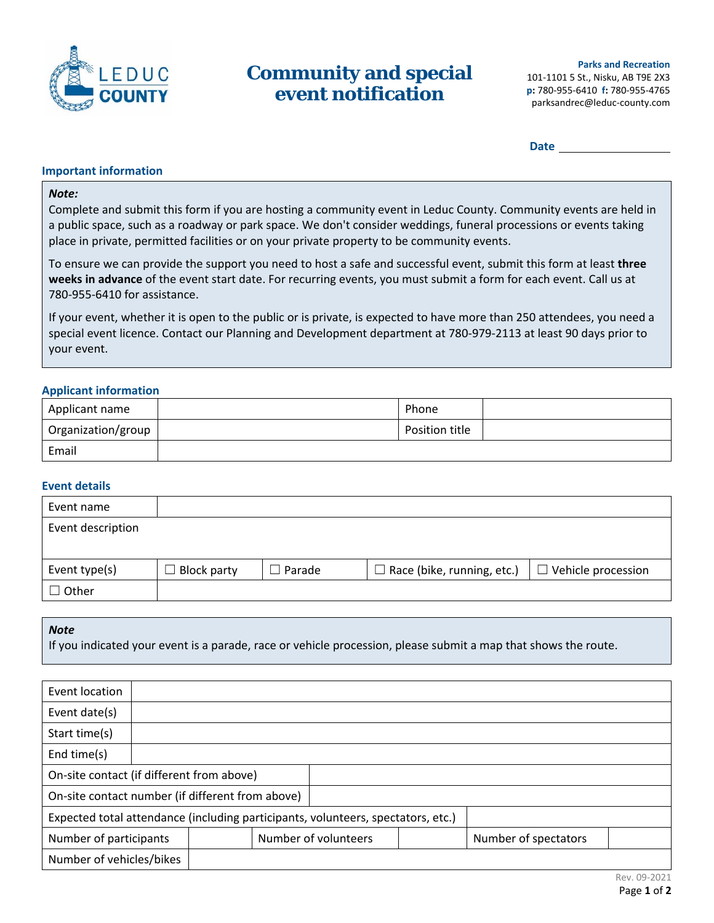

# **Community and special event notification**

 **Date**

# **Important information**

### *Note:*

Complete and submit this form if you are hosting a community event in Leduc County. Community events are held in a public space, such as a roadway or park space. We don't consider weddings, funeral processions or events taking place in private, permitted facilities or on your private property to be community events.

To ensure we can provide the support you need to host a safe and successful event, submit this form at least **three weeks in advance** of the event start date. For recurring events, you must submit a form for each event. Call us at 780‐955‐6410 for assistance.

If your event, whether it is open to the public or is private, is expected to have more than 250 attendees, you need a special event licence. Contact our Planning and Development department at 780‐979‐2113 at least 90 days prior to your event.

# **Applicant information**

| Applicant name     | Phone          |  |
|--------------------|----------------|--|
| Organization/group | Position title |  |
| Email              |                |  |

# **Event details**

| Event name        |                    |        |                                   |                           |
|-------------------|--------------------|--------|-----------------------------------|---------------------------|
| Event description |                    |        |                                   |                           |
|                   |                    |        |                                   |                           |
| Event type(s)     | <b>Block party</b> | Parade | $\Box$ Race (bike, running, etc.) | $\Box$ Vehicle procession |
| $\Box$ Other      |                    |        |                                   |                           |

#### *Note*

If you indicated your event is a parade, race or vehicle procession, please submit a map that shows the route.

| Event location                                   |  |  |  |                                                                                  |                      |  |
|--------------------------------------------------|--|--|--|----------------------------------------------------------------------------------|----------------------|--|
| Event date(s)                                    |  |  |  |                                                                                  |                      |  |
| Start time(s)                                    |  |  |  |                                                                                  |                      |  |
| End time(s)                                      |  |  |  |                                                                                  |                      |  |
| On-site contact (if different from above)        |  |  |  |                                                                                  |                      |  |
| On-site contact number (if different from above) |  |  |  |                                                                                  |                      |  |
|                                                  |  |  |  | Expected total attendance (including participants, volunteers, spectators, etc.) |                      |  |
| Number of participants                           |  |  |  | Number of volunteers                                                             | Number of spectators |  |
| Number of vehicles/bikes                         |  |  |  |                                                                                  |                      |  |